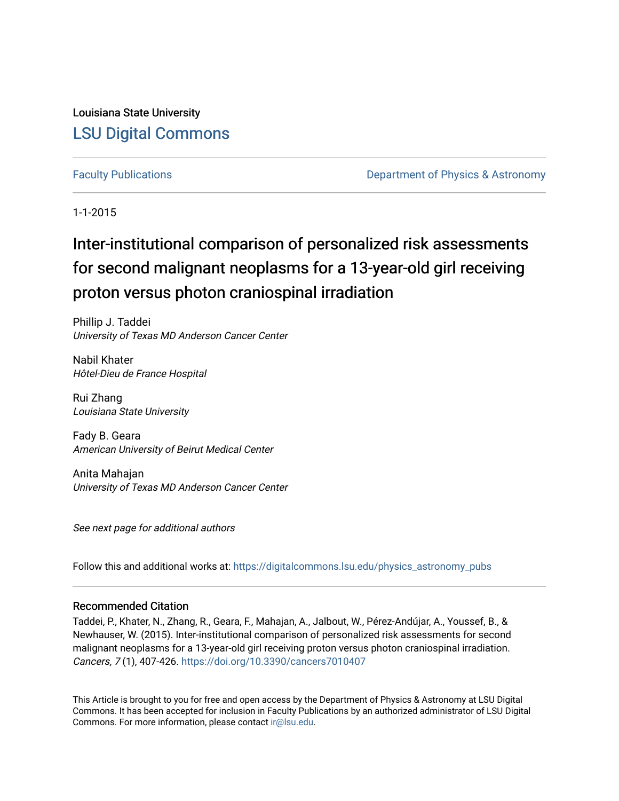Louisiana State University [LSU Digital Commons](https://digitalcommons.lsu.edu/)

[Faculty Publications](https://digitalcommons.lsu.edu/physics_astronomy_pubs) **Example 2** Constant Department of Physics & Astronomy

1-1-2015

# Inter-institutional comparison of personalized risk assessments for second malignant neoplasms for a 13-year-old girl receiving proton versus photon craniospinal irradiation

Phillip J. Taddei University of Texas MD Anderson Cancer Center

Nabil Khater Hôtel-Dieu de France Hospital

Rui Zhang Louisiana State University

Fady B. Geara American University of Beirut Medical Center

Anita Mahajan University of Texas MD Anderson Cancer Center

See next page for additional authors

Follow this and additional works at: [https://digitalcommons.lsu.edu/physics\\_astronomy\\_pubs](https://digitalcommons.lsu.edu/physics_astronomy_pubs?utm_source=digitalcommons.lsu.edu%2Fphysics_astronomy_pubs%2F3687&utm_medium=PDF&utm_campaign=PDFCoverPages) 

#### Recommended Citation

Taddei, P., Khater, N., Zhang, R., Geara, F., Mahajan, A., Jalbout, W., Pérez-Andújar, A., Youssef, B., & Newhauser, W. (2015). Inter-institutional comparison of personalized risk assessments for second malignant neoplasms for a 13-year-old girl receiving proton versus photon craniospinal irradiation. Cancers, 7 (1), 407-426. <https://doi.org/10.3390/cancers7010407>

This Article is brought to you for free and open access by the Department of Physics & Astronomy at LSU Digital Commons. It has been accepted for inclusion in Faculty Publications by an authorized administrator of LSU Digital Commons. For more information, please contact [ir@lsu.edu](mailto:ir@lsu.edu).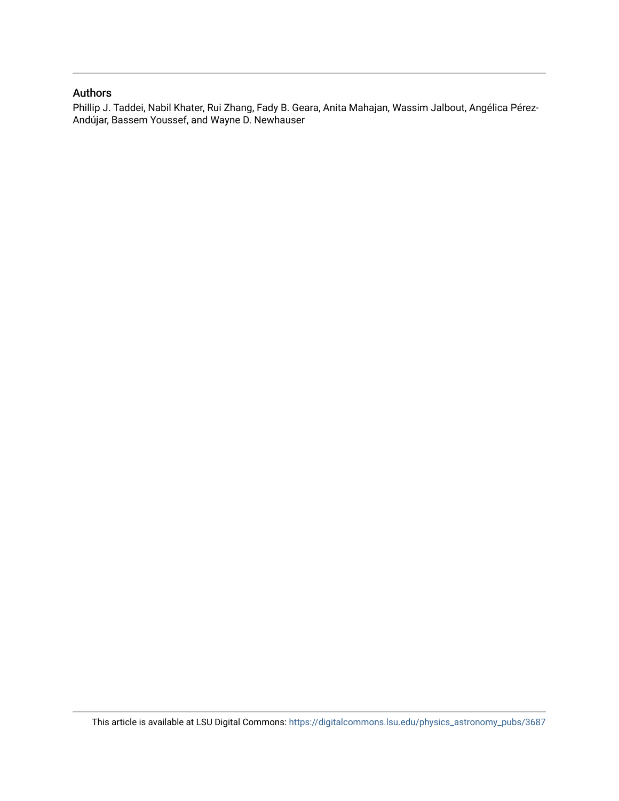#### Authors

Phillip J. Taddei, Nabil Khater, Rui Zhang, Fady B. Geara, Anita Mahajan, Wassim Jalbout, Angélica Pérez-Andújar, Bassem Youssef, and Wayne D. Newhauser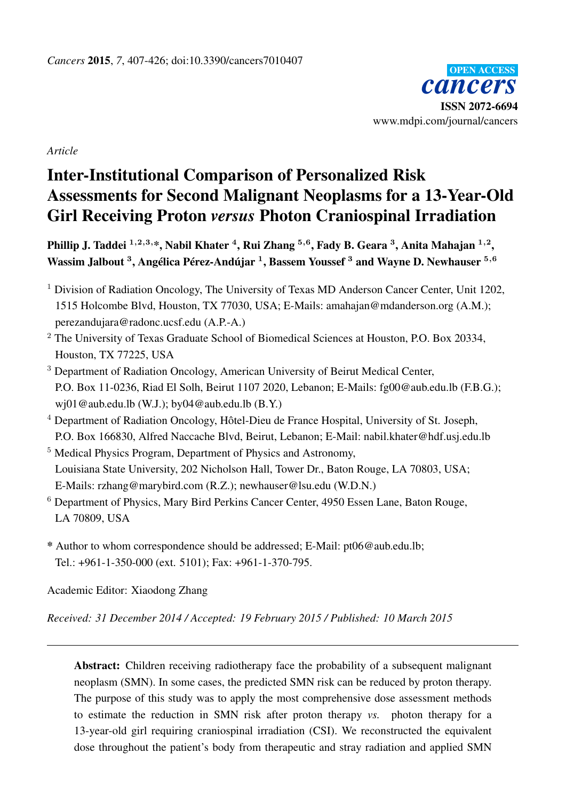

*Article*

# Inter-Institutional Comparison of Personalized Risk Assessments for Second Malignant Neoplasms for a 13-Year-Old Girl Receiving Proton *versus* Photon Craniospinal Irradiation

Phillip J. Taddei  $^{1,2,3,*},$  Nabil Khater  $^4$ , Rui Zhang  $^{5,6},$  Fady B. Geara  $^3,$  Anita Mahajan  $^{1,2},$ Wassim Jalbout  $^3$ , Angélica Pérez-Andújar  $^1$ , Bassem Youssef  $^3$  and Wayne D. Newhauser  $^{5,6}$ 

<sup>1</sup> Division of Radiation Oncology, The University of Texas MD Anderson Cancer Center, Unit 1202, 1515 Holcombe Blvd, Houston, TX 77030, USA; E-Mails: amahajan@mdanderson.org (A.M.); perezandujara@radonc.ucsf.edu (A.P.-A.)

- $2$  The University of Texas Graduate School of Biomedical Sciences at Houston, P.O. Box 20334, Houston, TX 77225, USA
- <sup>3</sup> Department of Radiation Oncology, American University of Beirut Medical Center, P.O. Box 11-0236, Riad El Solh, Beirut 1107 2020, Lebanon; E-Mails: fg00@aub.edu.lb (F.B.G.); wj01@aub.edu.lb (W.J.); by04@aub.edu.lb (B.Y.)
- <sup>4</sup> Department of Radiation Oncology, Hôtel-Dieu de France Hospital, University of St. Joseph, P.O. Box 166830, Alfred Naccache Blvd, Beirut, Lebanon; E-Mail: nabil.khater@hdf.usj.edu.lb
- <sup>5</sup> Medical Physics Program, Department of Physics and Astronomy, Louisiana State University, 202 Nicholson Hall, Tower Dr., Baton Rouge, LA 70803, USA; E-Mails: rzhang@marybird.com (R.Z.); newhauser@lsu.edu (W.D.N.)
- <sup>6</sup> Department of Physics, Mary Bird Perkins Cancer Center, 4950 Essen Lane, Baton Rouge, LA 70809, USA
- \* Author to whom correspondence should be addressed; E-Mail: pt06@aub.edu.lb; Tel.: +961-1-350-000 (ext. 5101); Fax: +961-1-370-795.

Academic Editor: Xiaodong Zhang

*Received: 31 December 2014 / Accepted: 19 February 2015 / Published: 10 March 2015*

Abstract: Children receiving radiotherapy face the probability of a subsequent malignant neoplasm (SMN). In some cases, the predicted SMN risk can be reduced by proton therapy. The purpose of this study was to apply the most comprehensive dose assessment methods to estimate the reduction in SMN risk after proton therapy *vs.* photon therapy for a 13-year-old girl requiring craniospinal irradiation (CSI). We reconstructed the equivalent dose throughout the patient's body from therapeutic and stray radiation and applied SMN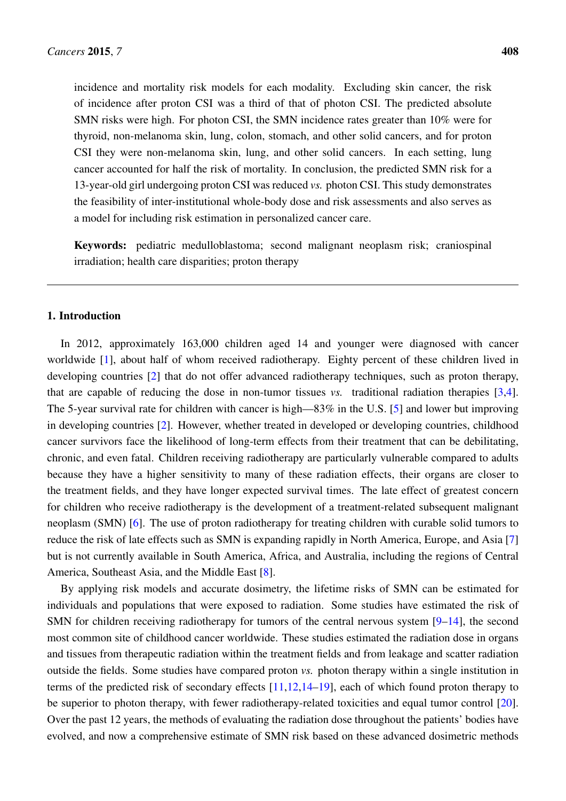incidence and mortality risk models for each modality. Excluding skin cancer, the risk of incidence after proton CSI was a third of that of photon CSI. The predicted absolute SMN risks were high. For photon CSI, the SMN incidence rates greater than 10% were for thyroid, non-melanoma skin, lung, colon, stomach, and other solid cancers, and for proton CSI they were non-melanoma skin, lung, and other solid cancers. In each setting, lung cancer accounted for half the risk of mortality. In conclusion, the predicted SMN risk for a 13-year-old girl undergoing proton CSI was reduced *vs.* photon CSI. This study demonstrates the feasibility of inter-institutional whole-body dose and risk assessments and also serves as a model for including risk estimation in personalized cancer care.

Keywords: pediatric medulloblastoma; second malignant neoplasm risk; craniospinal irradiation; health care disparities; proton therapy

#### 1. Introduction

In 2012, approximately 163,000 children aged 14 and younger were diagnosed with cancer worldwide [\[1\]](#page-17-0), about half of whom received radiotherapy. Eighty percent of these children lived in developing countries [\[2\]](#page-18-0) that do not offer advanced radiotherapy techniques, such as proton therapy, that are capable of reducing the dose in non-tumor tissues *vs.* traditional radiation therapies [\[3,](#page-18-1)[4\]](#page-18-2). The 5-year survival rate for children with cancer is high—83% in the U.S. [\[5\]](#page-18-3) and lower but improving in developing countries [\[2\]](#page-18-0). However, whether treated in developed or developing countries, childhood cancer survivors face the likelihood of long-term effects from their treatment that can be debilitating, chronic, and even fatal. Children receiving radiotherapy are particularly vulnerable compared to adults because they have a higher sensitivity to many of these radiation effects, their organs are closer to the treatment fields, and they have longer expected survival times. The late effect of greatest concern for children who receive radiotherapy is the development of a treatment-related subsequent malignant neoplasm (SMN) [\[6\]](#page-18-4). The use of proton radiotherapy for treating children with curable solid tumors to reduce the risk of late effects such as SMN is expanding rapidly in North America, Europe, and Asia [\[7\]](#page-18-5) but is not currently available in South America, Africa, and Australia, including the regions of Central America, Southeast Asia, and the Middle East [\[8\]](#page-18-6).

By applying risk models and accurate dosimetry, the lifetime risks of SMN can be estimated for individuals and populations that were exposed to radiation. Some studies have estimated the risk of SMN for children receiving radiotherapy for tumors of the central nervous system [\[9–](#page-18-7)[14\]](#page-18-8), the second most common site of childhood cancer worldwide. These studies estimated the radiation dose in organs and tissues from therapeutic radiation within the treatment fields and from leakage and scatter radiation outside the fields. Some studies have compared proton *vs.* photon therapy within a single institution in terms of the predicted risk of secondary effects [\[11](#page-18-9)[,12](#page-18-10)[,14](#page-18-8)[–19\]](#page-19-0), each of which found proton therapy to be superior to photon therapy, with fewer radiotherapy-related toxicities and equal tumor control [\[20\]](#page-19-1). Over the past 12 years, the methods of evaluating the radiation dose throughout the patients' bodies have evolved, and now a comprehensive estimate of SMN risk based on these advanced dosimetric methods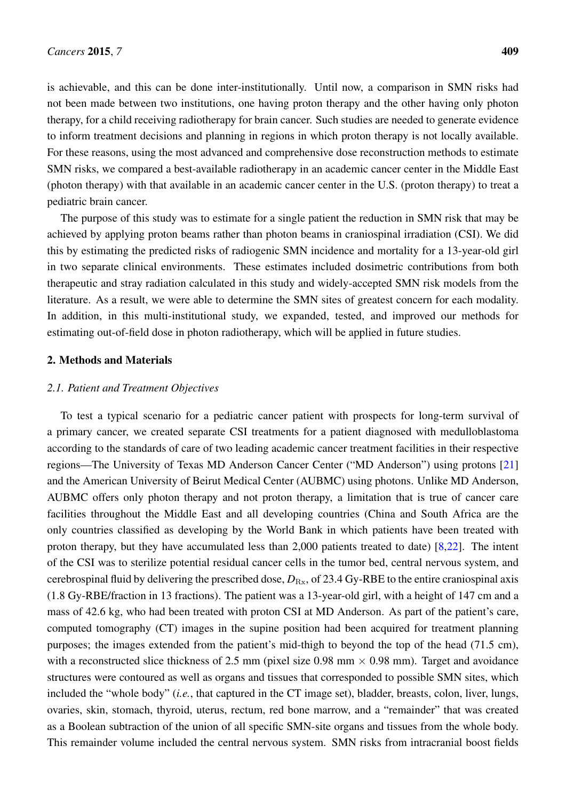is achievable, and this can be done inter-institutionally. Until now, a comparison in SMN risks had not been made between two institutions, one having proton therapy and the other having only photon therapy, for a child receiving radiotherapy for brain cancer. Such studies are needed to generate evidence to inform treatment decisions and planning in regions in which proton therapy is not locally available. For these reasons, using the most advanced and comprehensive dose reconstruction methods to estimate SMN risks, we compared a best-available radiotherapy in an academic cancer center in the Middle East (photon therapy) with that available in an academic cancer center in the U.S. (proton therapy) to treat a pediatric brain cancer.

The purpose of this study was to estimate for a single patient the reduction in SMN risk that may be achieved by applying proton beams rather than photon beams in craniospinal irradiation (CSI). We did this by estimating the predicted risks of radiogenic SMN incidence and mortality for a 13-year-old girl in two separate clinical environments. These estimates included dosimetric contributions from both therapeutic and stray radiation calculated in this study and widely-accepted SMN risk models from the literature. As a result, we were able to determine the SMN sites of greatest concern for each modality. In addition, in this multi-institutional study, we expanded, tested, and improved our methods for estimating out-of-field dose in photon radiotherapy, which will be applied in future studies.

#### 2. Methods and Materials

#### *2.1. Patient and Treatment Objectives*

To test a typical scenario for a pediatric cancer patient with prospects for long-term survival of a primary cancer, we created separate CSI treatments for a patient diagnosed with medulloblastoma according to the standards of care of two leading academic cancer treatment facilities in their respective regions—The University of Texas MD Anderson Cancer Center ("MD Anderson") using protons [\[21\]](#page-19-2) and the American University of Beirut Medical Center (AUBMC) using photons. Unlike MD Anderson, AUBMC offers only photon therapy and not proton therapy, a limitation that is true of cancer care facilities throughout the Middle East and all developing countries (China and South Africa are the only countries classified as developing by the World Bank in which patients have been treated with proton therapy, but they have accumulated less than 2,000 patients treated to date) [\[8](#page-18-6)[,22\]](#page-19-3). The intent of the CSI was to sterilize potential residual cancer cells in the tumor bed, central nervous system, and cerebrospinal fluid by delivering the prescribed dose,  $D_{Rx}$ , of 23.4 Gy-RBE to the entire craniospinal axis (1.8 Gy-RBE/fraction in 13 fractions). The patient was a 13-year-old girl, with a height of 147 cm and a mass of 42.6 kg, who had been treated with proton CSI at MD Anderson. As part of the patient's care, computed tomography (CT) images in the supine position had been acquired for treatment planning purposes; the images extended from the patient's mid-thigh to beyond the top of the head (71.5 cm), with a reconstructed slice thickness of 2.5 mm (pixel size  $0.98$  mm  $\times$  0.98 mm). Target and avoidance structures were contoured as well as organs and tissues that corresponded to possible SMN sites, which included the "whole body" (*i.e.*, that captured in the CT image set), bladder, breasts, colon, liver, lungs, ovaries, skin, stomach, thyroid, uterus, rectum, red bone marrow, and a "remainder" that was created as a Boolean subtraction of the union of all specific SMN-site organs and tissues from the whole body. This remainder volume included the central nervous system. SMN risks from intracranial boost fields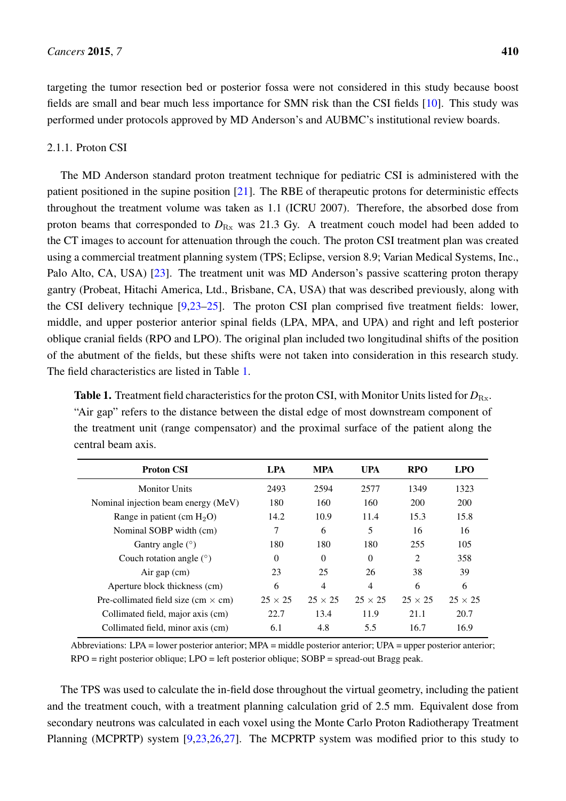targeting the tumor resection bed or posterior fossa were not considered in this study because boost fields are small and bear much less importance for SMN risk than the CSI fields [\[10\]](#page-18-11). This study was performed under protocols approved by MD Anderson's and AUBMC's institutional review boards.

### 2.1.1. Proton CSI

The MD Anderson standard proton treatment technique for pediatric CSI is administered with the patient positioned in the supine position [\[21\]](#page-19-2). The RBE of therapeutic protons for deterministic effects throughout the treatment volume was taken as 1.1 (ICRU 2007). Therefore, the absorbed dose from proton beams that corresponded to  $D_{Rx}$  was 21.3 Gy. A treatment couch model had been added to the CT images to account for attenuation through the couch. The proton CSI treatment plan was created using a commercial treatment planning system (TPS; Eclipse, version 8.9; Varian Medical Systems, Inc., Palo Alto, CA, USA) [\[23\]](#page-19-4). The treatment unit was MD Anderson's passive scattering proton therapy gantry (Probeat, Hitachi America, Ltd., Brisbane, CA, USA) that was described previously, along with the CSI delivery technique [\[9,](#page-18-7)[23–](#page-19-4)[25\]](#page-19-5). The proton CSI plan comprised five treatment fields: lower, middle, and upper posterior anterior spinal fields (LPA, MPA, and UPA) and right and left posterior oblique cranial fields (RPO and LPO). The original plan included two longitudinal shifts of the position of the abutment of the fields, but these shifts were not taken into consideration in this research study. The field characteristics are listed in Table [1.](#page-5-0)

<span id="page-5-0"></span>**Table 1.** Treatment field characteristics for the proton CSI, with Monitor Units listed for  $D_{\text{Rx}}$ . "Air gap" refers to the distance between the distal edge of most downstream component of the treatment unit (range compensator) and the proximal surface of the patient along the central beam axis.

| <b>Proton CSI</b>                          | <b>LPA</b>     | <b>MPA</b>     | <b>UPA</b>     | <b>RPO</b>     | <b>LPO</b>     |
|--------------------------------------------|----------------|----------------|----------------|----------------|----------------|
| <b>Monitor Units</b>                       | 2493           | 2594           | 2577           | 1349           | 1323           |
| Nominal injection beam energy (MeV)        | 180            | 160            | 160            | 200            | 200            |
| Range in patient (cm $H_2O$ )              | 14.2           | 10.9           | 11.4           | 15.3           | 15.8           |
| Nominal SOBP width (cm)                    | 7              | 6              | 5              | 16             | 16             |
| Gantry angle $(°)$                         | 180            | 180            | 180            | 255            | 105            |
| Couch rotation angle $(°)$                 | $\Omega$       | $\Omega$       | $\Omega$       | $\mathcal{D}$  | 358            |
| Air gap (cm)                               | 23             | 25             | 26             | 38             | 39             |
| Aperture block thickness (cm)              | 6              | 4              | 4              | 6              | 6              |
| Pre-collimated field size (cm $\times$ cm) | $25 \times 25$ | $25 \times 25$ | $25 \times 25$ | $25 \times 25$ | $25 \times 25$ |
| Collimated field, major axis (cm)          | 22.7           | 13.4           | 11.9           | 21.1           | 20.7           |
| Collimated field, minor axis (cm)          | 6.1            | 4.8            | 5.5            | 16.7           | 16.9           |

Abbreviations: LPA = lower posterior anterior; MPA = middle posterior anterior; UPA = upper posterior anterior; RPO = right posterior oblique; LPO = left posterior oblique; SOBP = spread-out Bragg peak.

The TPS was used to calculate the in-field dose throughout the virtual geometry, including the patient and the treatment couch, with a treatment planning calculation grid of 2.5 mm. Equivalent dose from secondary neutrons was calculated in each voxel using the Monte Carlo Proton Radiotherapy Treatment Planning (MCPRTP) system [\[9,](#page-18-7)[23,](#page-19-4)[26,](#page-19-6)[27\]](#page-19-7). The MCPRTP system was modified prior to this study to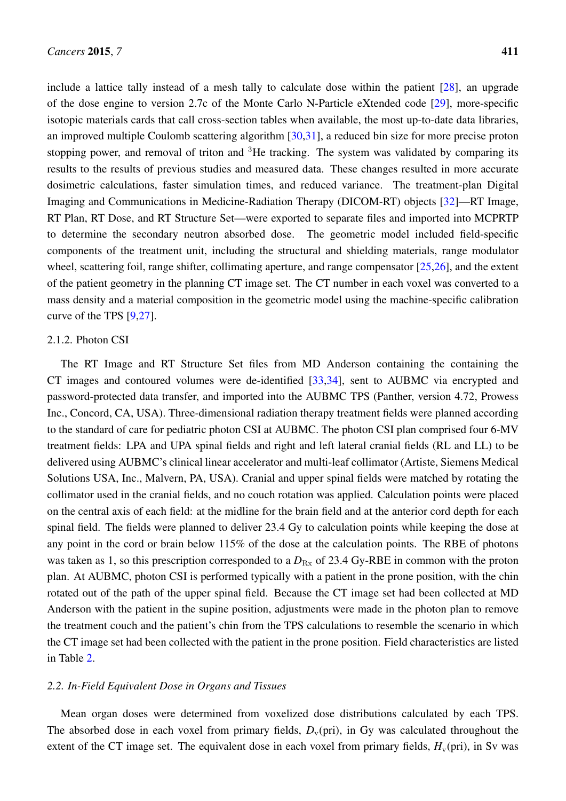include a lattice tally instead of a mesh tally to calculate dose within the patient [\[28\]](#page-19-8), an upgrade of the dose engine to version 2.7c of the Monte Carlo N-Particle eXtended code [\[29\]](#page-20-0), more-specific isotopic materials cards that call cross-section tables when available, the most up-to-date data libraries, an improved multiple Coulomb scattering algorithm [\[30](#page-20-1)[,31\]](#page-20-2), a reduced bin size for more precise proton stopping power, and removal of triton and  ${}^{3}$ He tracking. The system was validated by comparing its results to the results of previous studies and measured data. These changes resulted in more accurate dosimetric calculations, faster simulation times, and reduced variance. The treatment-plan Digital Imaging and Communications in Medicine-Radiation Therapy (DICOM-RT) objects [\[32\]](#page-20-3)—RT Image, RT Plan, RT Dose, and RT Structure Set—were exported to separate files and imported into MCPRTP to determine the secondary neutron absorbed dose. The geometric model included field-specific components of the treatment unit, including the structural and shielding materials, range modulator wheel, scattering foil, range shifter, collimating aperture, and range compensator  $[25,26]$  $[25,26]$ , and the extent of the patient geometry in the planning CT image set. The CT number in each voxel was converted to a mass density and a material composition in the geometric model using the machine-specific calibration curve of the TPS [\[9](#page-18-7)[,27\]](#page-19-7).

## 2.1.2. Photon CSI

The RT Image and RT Structure Set files from MD Anderson containing the containing the CT images and contoured volumes were de-identified [\[33,](#page-20-4)[34\]](#page-20-5), sent to AUBMC via encrypted and password-protected data transfer, and imported into the AUBMC TPS (Panther, version 4.72, Prowess Inc., Concord, CA, USA). Three-dimensional radiation therapy treatment fields were planned according to the standard of care for pediatric photon CSI at AUBMC. The photon CSI plan comprised four 6-MV treatment fields: LPA and UPA spinal fields and right and left lateral cranial fields (RL and LL) to be delivered using AUBMC's clinical linear accelerator and multi-leaf collimator (Artiste, Siemens Medical Solutions USA, Inc., Malvern, PA, USA). Cranial and upper spinal fields were matched by rotating the collimator used in the cranial fields, and no couch rotation was applied. Calculation points were placed on the central axis of each field: at the midline for the brain field and at the anterior cord depth for each spinal field. The fields were planned to deliver 23.4 Gy to calculation points while keeping the dose at any point in the cord or brain below 115% of the dose at the calculation points. The RBE of photons was taken as 1, so this prescription corresponded to a  $D_{Rx}$  of 23.4 Gy-RBE in common with the proton plan. At AUBMC, photon CSI is performed typically with a patient in the prone position, with the chin rotated out of the path of the upper spinal field. Because the CT image set had been collected at MD Anderson with the patient in the supine position, adjustments were made in the photon plan to remove the treatment couch and the patient's chin from the TPS calculations to resemble the scenario in which the CT image set had been collected with the patient in the prone position. Field characteristics are listed in Table [2.](#page-7-0)

#### <span id="page-6-0"></span>*2.2. In-Field Equivalent Dose in Organs and Tissues*

Mean organ doses were determined from voxelized dose distributions calculated by each TPS. The absorbed dose in each voxel from primary fields,  $D_v$ (pri), in Gy was calculated throughout the extent of the CT image set. The equivalent dose in each voxel from primary fields,  $H_v$ (pri), in Sv was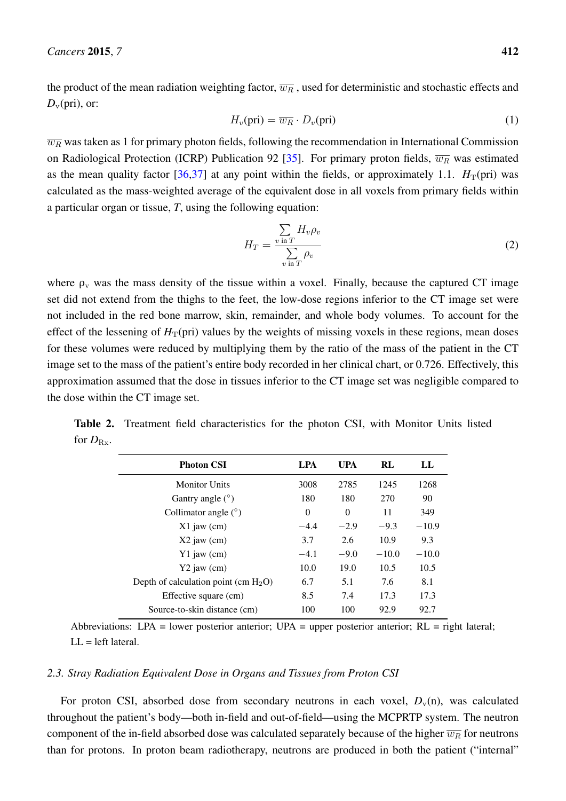the product of the mean radiation weighting factor,  $\overline{w_R}$ , used for deterministic and stochastic effects and  $D_{\rm v}$ (pri), or:

$$
H_v(\text{pri}) = \overline{w_R} \cdot D_v(\text{pri}) \tag{1}
$$

 $\overline{w_R}$  was taken as 1 for primary photon fields, following the recommendation in International Commission on Radiological Protection (ICRP) Publication 92 [\[35\]](#page-20-6). For primary proton fields,  $\overline{w_R}$  was estimated as the mean quality factor  $[36,37]$  $[36,37]$  at any point within the fields, or approximately 1.1. *H*<sub>T</sub>(pri) was calculated as the mass-weighted average of the equivalent dose in all voxels from primary fields within a particular organ or tissue, *T*, using the following equation:

$$
H_T = \frac{\sum_{v \text{ in } T} H_v \rho_v}{\sum_{v \text{ in } T} \rho_v} \tag{2}
$$

where  $\rho_v$  was the mass density of the tissue within a voxel. Finally, because the captured CT image set did not extend from the thighs to the feet, the low-dose regions inferior to the CT image set were not included in the red bone marrow, skin, remainder, and whole body volumes. To account for the effect of the lessening of  $H_T$ (pri) values by the weights of missing voxels in these regions, mean doses for these volumes were reduced by multiplying them by the ratio of the mass of the patient in the CT image set to the mass of the patient's entire body recorded in her clinical chart, or 0.726. Effectively, this approximation assumed that the dose in tissues inferior to the CT image set was negligible compared to the dose within the CT image set.

<span id="page-7-0"></span>Table 2. Treatment field characteristics for the photon CSI, with Monitor Units listed for  $D_{\text{Rv}}$ .

| <b>Photon CSI</b>                       | <b>LPA</b> | UPA      | RL      | LL      |
|-----------------------------------------|------------|----------|---------|---------|
| <b>Monitor Units</b>                    | 3008       | 2785     | 1245    | 1268    |
| Gantry angle $(°)$                      | 180        | 180      | 270     | 90      |
| Collimator angle $(°)$                  | $\theta$   | $\theta$ | 11      | 349     |
| $X1$ jaw (cm)                           | $-4.4$     | $-2.9$   | $-9.3$  | $-10.9$ |
| $X2$ jaw (cm)                           | 3.7        | 2.6      | 10.9    | 9.3     |
| $Y1$ jaw (cm)                           | $-4.1$     | $-9.0$   | $-10.0$ | $-10.0$ |
| $Y2$ jaw (cm)                           | 10.0       | 19.0     | 10.5    | 10.5    |
| Depth of calculation point (cm $H_2O$ ) | 6.7        | 5.1      | 7.6     | 8.1     |
| Effective square (cm)                   | 8.5        | 7.4      | 17.3    | 17.3    |
| Source-to-skin distance (cm)            | 100        | 100      | 92.9    | 92.7    |

Abbreviations: LPA = lower posterior anterior;  $UPA = upper$  posterior anterior;  $RL = right$  lateral;  $LL = left$  lateral.

#### *2.3. Stray Radiation Equivalent Dose in Organs and Tissues from Proton CSI*

For proton CSI, absorbed dose from secondary neutrons in each voxel,  $D_v(n)$ , was calculated throughout the patient's body—both in-field and out-of-field—using the MCPRTP system. The neutron component of the in-field absorbed dose was calculated separately because of the higher  $\overline{w_R}$  for neutrons than for protons. In proton beam radiotherapy, neutrons are produced in both the patient ("internal"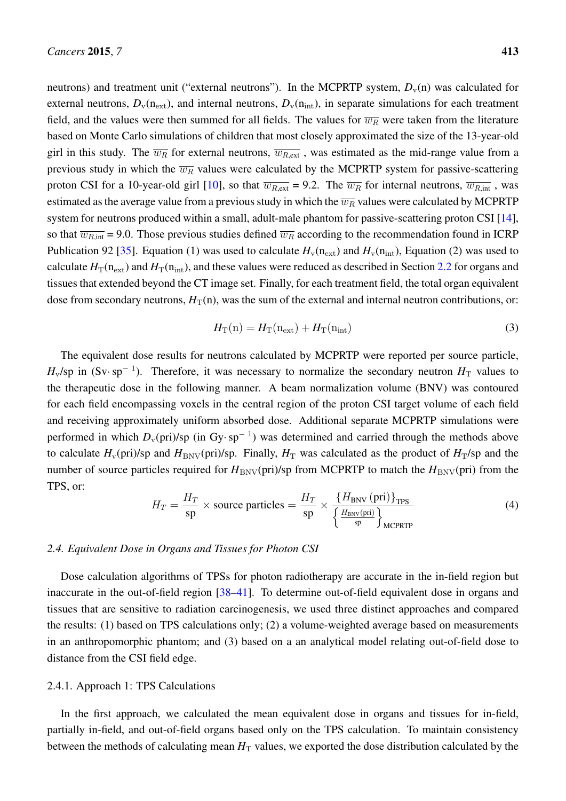neutrons) and treatment unit ("external neutrons"). In the MCPRTP system,  $D_v(n)$  was calculated for external neutrons,  $D_v(n_{\text{ext}})$ , and internal neutrons,  $D_v(n_{\text{int}})$ , in separate simulations for each treatment field, and the values were then summed for all fields. The values for  $\overline{w_R}$  were taken from the literature based on Monte Carlo simulations of children that most closely approximated the size of the 13-year-old girl in this study. The  $\overline{w_R}$  for external neutrons,  $\overline{w_{R,ext}}$ , was estimated as the mid-range value from a previous study in which the  $\overline{w_R}$  values were calculated by the MCPRTP system for passive-scattering proton CSI for a 10-year-old girl [\[10\]](#page-18-11), so that  $\overline{w_{R,ext}} = 9.2$ . The  $\overline{w_R}$  for internal neutrons,  $\overline{w_{R,int}}$ , was estimated as the average value from a previous study in which the  $\overline{w_R}$  values were calculated by MCPRTP system for neutrons produced within a small, adult-male phantom for passive-scattering proton CSI [\[14\]](#page-18-8), so that  $\overline{w_{R,\text{int}}}$  = 9.0. Those previous studies defined  $\overline{w_R}$  according to the recommendation found in ICRP Publication 92 [\[35\]](#page-20-6). Equation (1) was used to calculate  $H_v(n_{\text{ext}})$  and  $H_v(n_{\text{int}})$ , Equation (2) was used to calculate  $H_T(n_{\text{ext}})$  and  $H_T(n_{\text{int}})$ , and these values were reduced as described in Section [2.2](#page-6-0) for organs and tissues that extended beyond the CT image set. Finally, for each treatment field, the total organ equivalent dose from secondary neutrons,  $H_T(n)$ , was the sum of the external and internal neutron contributions, or:

$$
H_{\rm T}(\mathrm{n}) = H_{\rm T}(\mathrm{n_{\rm ext}}) + H_{\rm T}(\mathrm{n_{\rm int}}) \tag{3}
$$

The equivalent dose results for neutrons calculated by MCPRTP were reported per source particle,  $H_v$ /sp in (Sv·sp<sup>-1</sup>). Therefore, it was necessary to normalize the secondary neutron  $H_T$  values to the therapeutic dose in the following manner. A beam normalization volume (BNV) was contoured for each field encompassing voxels in the central region of the proton CSI target volume of each field and receiving approximately uniform absorbed dose. Additional separate MCPRTP simulations were performed in which *D*<sub>v</sub>(pri)/sp (in Gy·sp<sup>-1</sup>) was determined and carried through the methods above to calculate  $H_v$ (pri)/sp and  $H_{\text{BNV}}$ (pri)/sp. Finally,  $H_T$  was calculated as the product of  $H_T$ /sp and the number of source particles required for  $H_{\text{BNV}}(\text{pri})/\text{sp}$  from MCPRTP to match the  $H_{\text{BNV}}(\text{pri})$  from the TPS, or:

$$
H_T = \frac{H_T}{\text{sp}} \times \text{source particles} = \frac{H_T}{\text{sp}} \times \frac{\left\{H_{\text{BNV}}(\text{pri})\right\}_{\text{TPS}}}{\left\{\frac{H_{\text{BNV}}(\text{pri})}{\text{sp}}\right\}_{\text{MCPRTP}}}
$$
(4)

#### <span id="page-8-0"></span>*2.4. Equivalent Dose in Organs and Tissues for Photon CSI*

Dose calculation algorithms of TPSs for photon radiotherapy are accurate in the in-field region but inaccurate in the out-of-field region [\[38–](#page-20-9)[41\]](#page-20-10). To determine out-of-field equivalent dose in organs and tissues that are sensitive to radiation carcinogenesis, we used three distinct approaches and compared the results: (1) based on TPS calculations only; (2) a volume-weighted average based on measurements in an anthropomorphic phantom; and (3) based on a an analytical model relating out-of-field dose to distance from the CSI field edge.

#### 2.4.1. Approach 1: TPS Calculations

In the first approach, we calculated the mean equivalent dose in organs and tissues for in-field, partially in-field, and out-of-field organs based only on the TPS calculation. To maintain consistency between the methods of calculating mean  $H<sub>T</sub>$  values, we exported the dose distribution calculated by the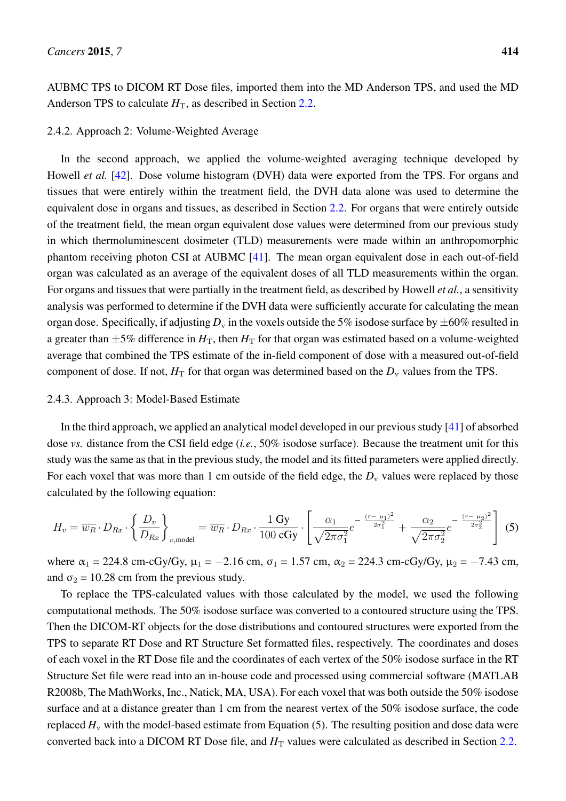AUBMC TPS to DICOM RT Dose files, imported them into the MD Anderson TPS, and used the MD Anderson TPS to calculate  $H<sub>T</sub>$ , as described in Section [2.2.](#page-6-0)

#### <span id="page-9-0"></span>2.4.2. Approach 2: Volume-Weighted Average

In the second approach, we applied the volume-weighted averaging technique developed by Howell *et al.* [\[42\]](#page-20-11). Dose volume histogram (DVH) data were exported from the TPS. For organs and tissues that were entirely within the treatment field, the DVH data alone was used to determine the equivalent dose in organs and tissues, as described in Section [2.2.](#page-6-0) For organs that were entirely outside of the treatment field, the mean organ equivalent dose values were determined from our previous study in which thermoluminescent dosimeter (TLD) measurements were made within an anthropomorphic phantom receiving photon CSI at AUBMC [\[41\]](#page-20-10). The mean organ equivalent dose in each out-of-field organ was calculated as an average of the equivalent doses of all TLD measurements within the organ. For organs and tissues that were partially in the treatment field, as described by Howell *et al.*, a sensitivity analysis was performed to determine if the DVH data were sufficiently accurate for calculating the mean organ dose. Specifically, if adjusting  $D_v$  in the voxels outside the 5% isodose surface by  $\pm 60\%$  resulted in a greater than  $\pm 5\%$  difference in  $H_T$ , then  $H_T$  for that organ was estimated based on a volume-weighted average that combined the TPS estimate of the in-field component of dose with a measured out-of-field component of dose. If not,  $H_T$  for that organ was determined based on the  $D_v$  values from the TPS.

#### 2.4.3. Approach 3: Model-Based Estimate

In the third approach, we applied an analytical model developed in our previous study [\[41\]](#page-20-10) of absorbed dose *vs.* distance from the CSI field edge (*i.e.*, 50% isodose surface). Because the treatment unit for this study was the same as that in the previous study, the model and its fitted parameters were applied directly. For each voxel that was more than 1 cm outside of the field edge, the  $D_v$  values were replaced by those calculated by the following equation:

$$
H_v = \overline{w_R} \cdot D_{Rx} \cdot \left\{ \frac{D_v}{D_{Rx}} \right\}_{v,\text{model}} = \overline{w_R} \cdot D_{Rx} \cdot \frac{1 \text{ Gy}}{100 \text{ cGy}} \cdot \left[ \frac{\alpha_1}{\sqrt{2\pi\sigma_1^2}} e^{-\frac{(r-\mu_1)^2}{2\sigma_1^2}} + \frac{\alpha_2}{\sqrt{2\pi\sigma_2^2}} e^{-\frac{(r-\mu_2)^2}{2\sigma_2^2}} \right] (5)
$$

where  $\alpha_1 = 224.8$  cm-cGy/Gy,  $\mu_1 = -2.16$  cm,  $\sigma_1 = 1.57$  cm,  $\alpha_2 = 224.3$  cm-cGy/Gy,  $\mu_2 = -7.43$  cm, and  $\sigma_2 = 10.28$  cm from the previous study.

To replace the TPS-calculated values with those calculated by the model, we used the following computational methods. The 50% isodose surface was converted to a contoured structure using the TPS. Then the DICOM-RT objects for the dose distributions and contoured structures were exported from the TPS to separate RT Dose and RT Structure Set formatted files, respectively. The coordinates and doses of each voxel in the RT Dose file and the coordinates of each vertex of the 50% isodose surface in the RT Structure Set file were read into an in-house code and processed using commercial software (MATLAB R2008b, The MathWorks, Inc., Natick, MA, USA). For each voxel that was both outside the 50% isodose surface and at a distance greater than 1 cm from the nearest vertex of the 50% isodose surface, the code replaced  $H<sub>v</sub>$  with the model-based estimate from Equation (5). The resulting position and dose data were converted back into a DICOM RT Dose file, and  $H<sub>T</sub>$  values were calculated as described in Section [2.2.](#page-6-0)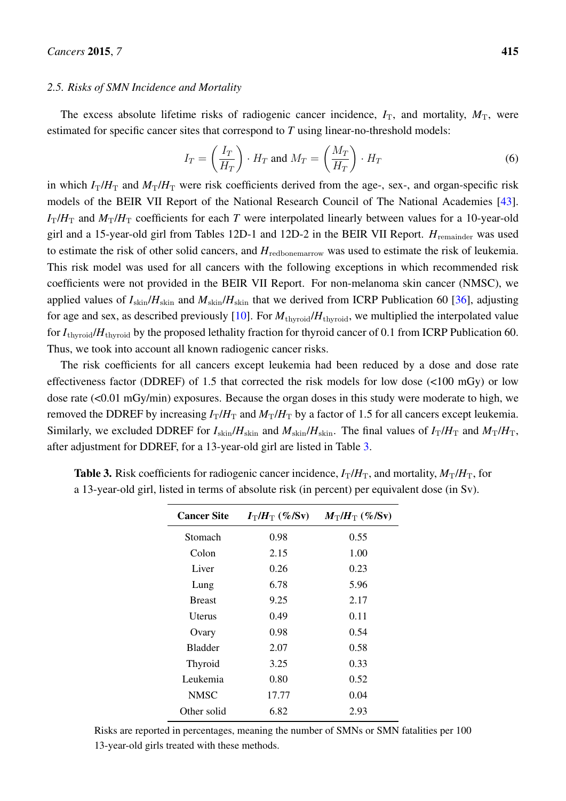#### *2.5. Risks of SMN Incidence and Mortality*

The excess absolute lifetime risks of radiogenic cancer incidence,  $I_T$ , and mortality,  $M_T$ , were estimated for specific cancer sites that correspond to *T* using linear-no-threshold models:

$$
I_T = \left(\frac{I_T}{H_T}\right) \cdot H_T \text{ and } M_T = \left(\frac{M_T}{H_T}\right) \cdot H_T \tag{6}
$$

in which  $I_T/H_T$  and  $M_T/H_T$  were risk coefficients derived from the age-, sex-, and organ-specific risk models of the BEIR VII Report of the National Research Council of The National Academies [\[43\]](#page-20-12).  $I_T/H_T$  and  $M_T/H_T$  coefficients for each *T* were interpolated linearly between values for a 10-year-old girl and a 15-year-old girl from Tables 12D-1 and 12D-2 in the BEIR VII Report. *H*remainder was used to estimate the risk of other solid cancers, and *H*redbonemarrow was used to estimate the risk of leukemia. This risk model was used for all cancers with the following exceptions in which recommended risk coefficients were not provided in the BEIR VII Report. For non-melanoma skin cancer (NMSC), we applied values of *I*skin/*H*skin and *M*skin/*H*skin that we derived from ICRP Publication 60 [\[36\]](#page-20-7), adjusting for age and sex, as described previously  $[10]$ . For  $M_{\text{thvroid}}/H_{\text{thvroid}}$ , we multiplied the interpolated value for *I*thyroid/*H*thyroid by the proposed lethality fraction for thyroid cancer of 0.1 from ICRP Publication 60. Thus, we took into account all known radiogenic cancer risks.

The risk coefficients for all cancers except leukemia had been reduced by a dose and dose rate effectiveness factor (DDREF) of 1.5 that corrected the risk models for low dose (<100 mGy) or low dose rate (<0.01 mGy/min) exposures. Because the organ doses in this study were moderate to high, we removed the DDREF by increasing  $I_T/H_T$  and  $M_T/H_T$  by a factor of 1.5 for all cancers except leukemia. Similarly, we excluded DDREF for  $I_{\rm skin}/H_{\rm skin}$  and  $M_{\rm skin}/H_{\rm skin}$ . The final values of  $I_{\rm T}/H_{\rm T}$  and  $M_{\rm T}/H_{\rm T}$ , after adjustment for DDREF, for a 13-year-old girl are listed in Table [3.](#page-10-0)

| <b>Cancer Site</b> | $I_{\rm T}/H_{\rm T}$ (%/Sv) | $M_{\rm T}/H_{\rm T}$ (%/Sv) |
|--------------------|------------------------------|------------------------------|
| Stomach            | 0.98                         | 0.55                         |
| Colon              | 2.15                         | 1.00                         |
| Liver              | 0.26                         | 0.23                         |
| Lung               | 6.78                         | 5.96                         |
| <b>Breast</b>      | 9.25                         | 2.17                         |
| Uterus             | 0.49                         | 0.11                         |
| Ovary              | 0.98                         | 0.54                         |
| <b>Bladder</b>     | 2.07                         | 0.58                         |
| Thyroid            | 3.25                         | 0.33                         |
| Leukemia           | 0.80                         | 0.52                         |
| <b>NMSC</b>        | 17.77                        | 0.04                         |
| Other solid        | 6.82                         | 2.93                         |

<span id="page-10-0"></span>**Table 3.** Risk coefficients for radiogenic cancer incidence,  $I_T/H_T$ , and mortality,  $M_T/H_T$ , for a 13-year-old girl, listed in terms of absolute risk (in percent) per equivalent dose (in Sv).

Risks are reported in percentages, meaning the number of SMNs or SMN fatalities per 100 13-year-old girls treated with these methods.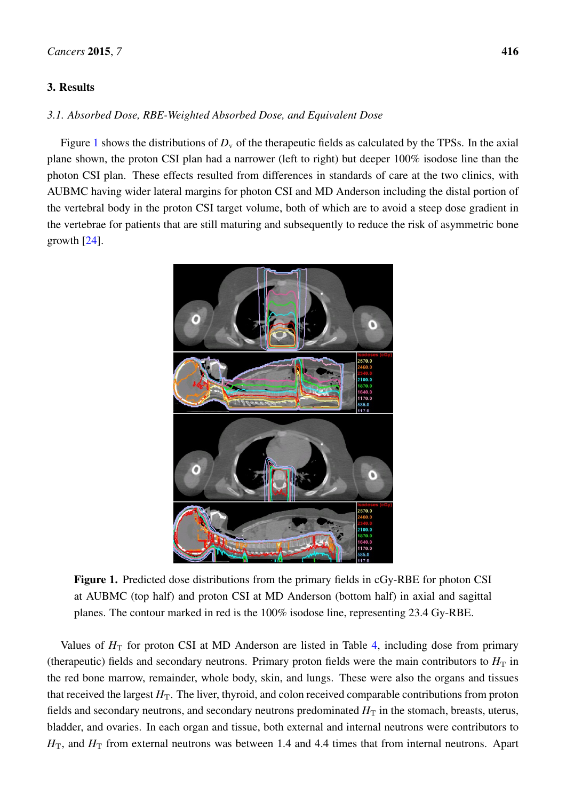#### 3. Results *Cancers* **2015**, *7* **416**

# 3.1. Absorbed Dose, RBE-Weighted Absorbed Dose, and Equivalent Dose

Figure [1](#page-11-0) shows the distributions of  $D_v$  of the therapeutic fields as calculated by the TPSs. In the axial plane shown, the proton CSI plan had a narrower (left to right) but deeper 100% isodose line than the photon CSI plan. These effects resulted from differences in standards of care at the two clinics, with AUBMC having wider lateral margins for photon CSI and MD Anderson including the distal portion of the vertebral body in the proton CSI target volume, both of which are to avoid a steep dose gradient in the vertebrae for patients that are still maturing and subsequently to reduce the risk of asymmetric bone growth [\[24\]](#page-19-9).  $f(x)$  patients that are still maturing and subsequently to reduce the risk of asymmetric bone growth  $f(x)$ .

<span id="page-11-0"></span>

**Figure 1.** Predicted dose distributions from the primary fields in cGy-RBE for photon CSI at AUBMC (top half) and proton CSI at MD Anderson (bottom half) in axial and sagittal at AUBMC (top half) and proton CSI at MD Anderson (bottom half) in axial and sagittal planes. The contour marked in red is the 100% isodose line, representing 23.4 Gy-RBE. planes. The contour marked in red is the 100% isodose line, representing 23.4 Gy-RBE.

Values of  $H_T$  for proton CSI at MD Anderson are listed in Table [4,](#page-12-0) including dose from primary (therapeutic) fields and secondary neutrons. Primary proton fields were the main contributors to  $H_T$  in the red bone marrow, remainder, whole body, skin, and lungs. These were also the organs and tissues the red bone marrow, remainder, whole body, skin, and lungs. These were also the organs and tissues that received the largest  $H_T$ . The liver, thyroid, and colon received comparable contributions from proton fields and secondary neutrons, and secondary neutrons predominated  $H_T$  in the stomach, breasts, uterus, bladder, and ovaries. In each organ and tissue, both external and internal neutrons were contributors to  $H_T$ , and  $H_T$  from external neutrons was between 1.4 and 4.4 times that from internal neutrons. Apart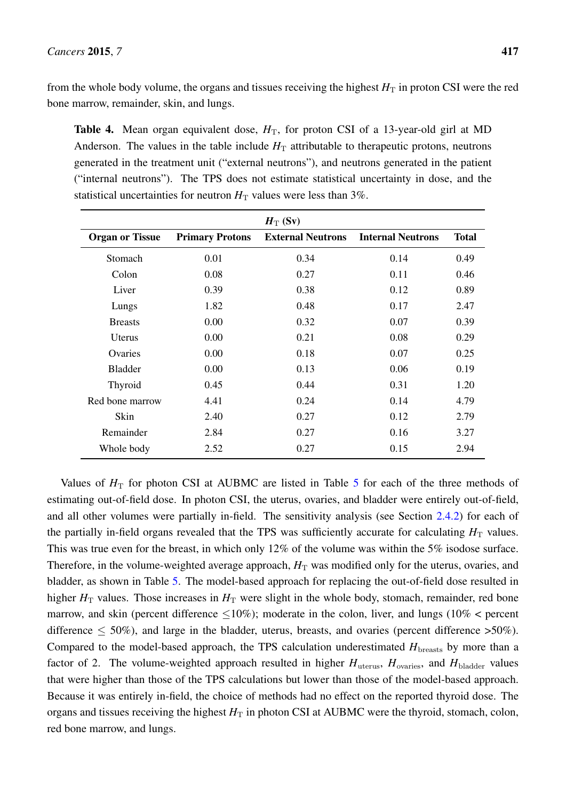from the whole body volume, the organs and tissues receiving the highest  $H<sub>T</sub>$  in proton CSI were the red bone marrow, remainder, skin, and lungs.

<span id="page-12-0"></span>**Table 4.** Mean organ equivalent dose,  $H_T$ , for proton CSI of a 13-year-old girl at MD Anderson. The values in the table include  $H<sub>T</sub>$  attributable to the rapeutic protons, neutrons generated in the treatment unit ("external neutrons"), and neutrons generated in the patient ("internal neutrons"). The TPS does not estimate statistical uncertainty in dose, and the statistical uncertainties for neutron  $H<sub>T</sub>$  values were less than 3%.

|                        |                        | $H_{\rm T}$ (Sv)         |                          |              |
|------------------------|------------------------|--------------------------|--------------------------|--------------|
| <b>Organ or Tissue</b> | <b>Primary Protons</b> | <b>External Neutrons</b> | <b>Internal Neutrons</b> | <b>Total</b> |
| <b>Stomach</b>         | 0.01                   | 0.34                     | 0.14                     | 0.49         |
| Colon                  | 0.08                   | 0.27                     | 0.11                     | 0.46         |
| Liver                  | 0.39                   | 0.38                     | 0.12                     | 0.89         |
| Lungs                  | 1.82                   | 0.48                     | 0.17                     | 2.47         |
| <b>Breasts</b>         | 0.00                   | 0.32                     | 0.07                     | 0.39         |
| Uterus                 | 0.00                   | 0.21                     | 0.08                     | 0.29         |
| Ovaries                | 0.00                   | 0.18                     | 0.07                     | 0.25         |
| <b>Bladder</b>         | 0.00                   | 0.13                     | 0.06                     | 0.19         |
| Thyroid                | 0.45                   | 0.44                     | 0.31                     | 1.20         |
| Red bone marrow        | 4.41                   | 0.24                     | 0.14                     | 4.79         |
| Skin                   | 2.40                   | 0.27                     | 0.12                     | 2.79         |
| Remainder              | 2.84                   | 0.27                     | 0.16                     | 3.27         |
| Whole body             | 2.52                   | 0.27                     | 0.15                     | 2.94         |

Values of  $H_T$  for photon CSI at AUBMC are listed in Table [5](#page-13-0) for each of the three methods of estimating out-of-field dose. In photon CSI, the uterus, ovaries, and bladder were entirely out-of-field, and all other volumes were partially in-field. The sensitivity analysis (see Section [2.4.2\)](#page-9-0) for each of the partially in-field organs revealed that the TPS was sufficiently accurate for calculating  $H_T$  values. This was true even for the breast, in which only 12% of the volume was within the 5% isodose surface. Therefore, in the volume-weighted average approach,  $H<sub>T</sub>$  was modified only for the uterus, ovaries, and bladder, as shown in Table [5.](#page-13-0) The model-based approach for replacing the out-of-field dose resulted in higher  $H_T$  values. Those increases in  $H_T$  were slight in the whole body, stomach, remainder, red bone marrow, and skin (percent difference  $\leq 10\%$ ); moderate in the colon, liver, and lungs (10%  $\lt$  percent difference  $\leq 50\%$ ), and large in the bladder, uterus, breasts, and ovaries (percent difference  $>50\%$ ). Compared to the model-based approach, the TPS calculation underestimated  $H<sub>breaks</sub>$  by more than a factor of 2. The volume-weighted approach resulted in higher  $H_{\text{uterus}}$ ,  $H_{\text{ovaries}}$ , and  $H_{\text{bladder}}$  values that were higher than those of the TPS calculations but lower than those of the model-based approach. Because it was entirely in-field, the choice of methods had no effect on the reported thyroid dose. The organs and tissues receiving the highest  $H<sub>T</sub>$  in photon CSI at AUBMC were the thyroid, stomach, colon, red bone marrow, and lungs.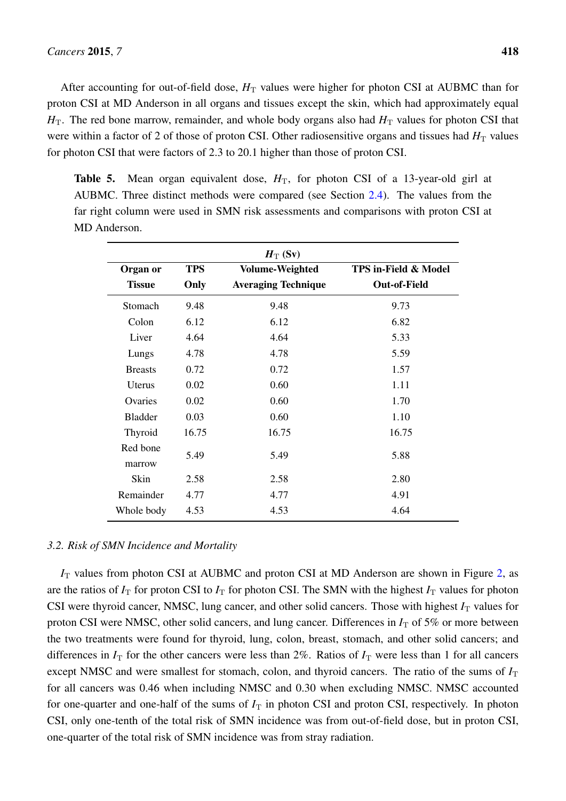After accounting for out-of-field dose,  $H<sub>T</sub>$  values were higher for photon CSI at AUBMC than for proton CSI at MD Anderson in all organs and tissues except the skin, which had approximately equal  $H<sub>T</sub>$ . The red bone marrow, remainder, and whole body organs also had  $H<sub>T</sub>$  values for photon CSI that were within a factor of 2 of those of proton CSI. Other radiosensitive organs and tissues had  $H<sub>T</sub>$  values for photon CSI that were factors of 2.3 to 20.1 higher than those of proton CSI.

<span id="page-13-0"></span>**Table 5.** Mean organ equivalent dose,  $H_T$ , for photon CSI of a 13-year-old girl at AUBMC. Three distinct methods were compared (see Section [2.4\)](#page-8-0). The values from the far right column were used in SMN risk assessments and comparisons with proton CSI at MD Anderson.

| $H_{\rm T}$ (Sv)   |                                      |                            |                      |  |
|--------------------|--------------------------------------|----------------------------|----------------------|--|
| Organ or           | <b>TPS</b><br><b>Volume-Weighted</b> |                            | TPS in-Field & Model |  |
| <b>Tissue</b>      | Only                                 | <b>Averaging Technique</b> | Out-of-Field         |  |
| Stomach            | 9.48                                 | 9.48                       | 9.73                 |  |
| Colon              | 6.12                                 | 6.12                       | 6.82                 |  |
| Liver              | 4.64                                 | 4.64                       | 5.33                 |  |
| Lungs              | 4.78                                 | 4.78                       | 5.59                 |  |
| <b>Breasts</b>     | 0.72                                 | 0.72                       | 1.57                 |  |
| Uterus             | 0.02                                 | 0.60                       | 1.11                 |  |
| Ovaries            | 0.02                                 | 0.60                       | 1.70                 |  |
| <b>Bladder</b>     | 0.03                                 | 0.60                       | 1.10                 |  |
| Thyroid            | 16.75                                | 16.75                      | 16.75                |  |
| Red bone<br>marrow | 5.49                                 | 5.49                       | 5.88                 |  |
| Skin               | 2.58                                 | 2.58                       | 2.80                 |  |
| Remainder          | 4.77                                 | 4.77                       | 4.91                 |  |
| Whole body         | 4.53                                 | 4.53                       | 4.64                 |  |

#### *3.2. Risk of SMN Incidence and Mortality*

 $I<sub>T</sub>$  values from photon CSI at AUBMC and proton CSI at MD Anderson are shown in Figure [2,](#page-14-0) as are the ratios of  $I_T$  for proton CSI to  $I_T$  for photon CSI. The SMN with the highest  $I_T$  values for photon CSI were thyroid cancer, NMSC, lung cancer, and other solid cancers. Those with highest  $I_T$  values for proton CSI were NMSC, other solid cancers, and lung cancer. Differences in  $I_T$  of 5% or more between the two treatments were found for thyroid, lung, colon, breast, stomach, and other solid cancers; and differences in  $I_T$  for the other cancers were less than 2%. Ratios of  $I_T$  were less than 1 for all cancers except NMSC and were smallest for stomach, colon, and thyroid cancers. The ratio of the sums of  $I_T$ for all cancers was 0.46 when including NMSC and 0.30 when excluding NMSC. NMSC accounted for one-quarter and one-half of the sums of  $I<sub>T</sub>$  in photon CSI and proton CSI, respectively. In photon CSI, only one-tenth of the total risk of SMN incidence was from out-of-field dose, but in proton CSI, one-quarter of the total risk of SMN incidence was from stray radiation.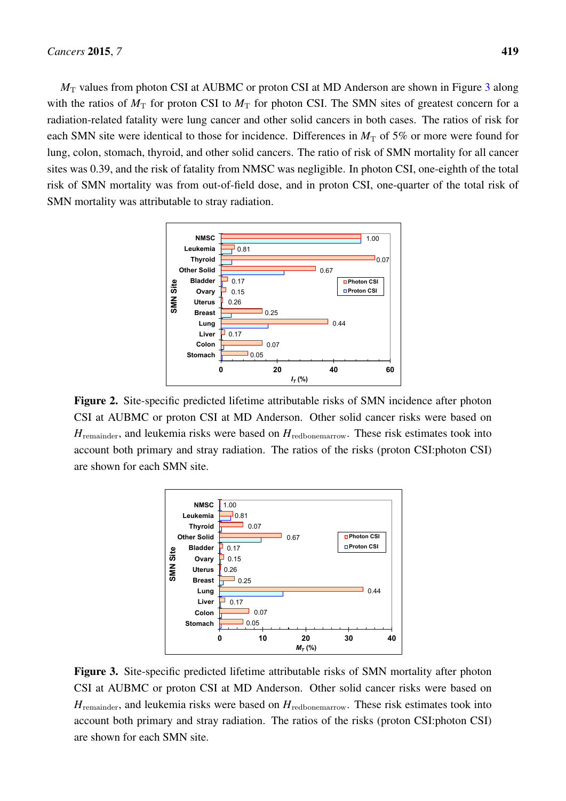$M<sub>T</sub>$  values from photon CSI at AUBMC or proton CSI at MD Anderson are shown in Figure [3](#page-14-1) along with the ratios of  $M_T$  for proton CSI to  $M_T$  for photon CSI. The SMN sites of greatest concern for a radiation-related fatality were lung cancer and other solid cancers in both cases. The ratios of risk for each SMN site were identical to those for incidence. Differences in  $M<sub>T</sub>$  of 5% or more were found for lung, colon, stomach, thyroid, and other solid cancers. The ratio of risk of SMN mortality for all cancer sites was 0.39, and the risk of fatality from NMSC was negligible. In photon CSI, one-eighth of the total risk of SMN mortality was from out-of-field dose, and in proton CSI, one-quarter of the total risk of SMN mortality was attributable to stray radiation.

<span id="page-14-0"></span>

**Figure 2.** Site-specific predicted lifetime attributable risks of SMN incidence after photon CSI at AUBMC or proton CSI at MD Anderson. Other solid cancer risks were based on  $H_{\text{remainder}}$ , and leukemia risks were based on  $H_{\text{redbonemarrow}}$ . These risk estimates took into account both primary and stray radiation. The ratios of the risks (proton CSI:photon CSI) are shown for each SMN site. nown for cach

<span id="page-14-1"></span>

**Figure 3.** Site-specific predicted lifetime attributable risks of SMN mortality after photon CSI at AUBMC or proton CSI at MD Anderson. Other solid cancer risks were based on  $H_{\text{remainder}}$ , and leukemia risks were based on  $H_{\text{redbonemarrow}}$ . These risk estimates took into account both primary and stray radiation. The ratios of the risks (proton CSI:photon CSI) shown for each SMN site. are shown for each SMN site.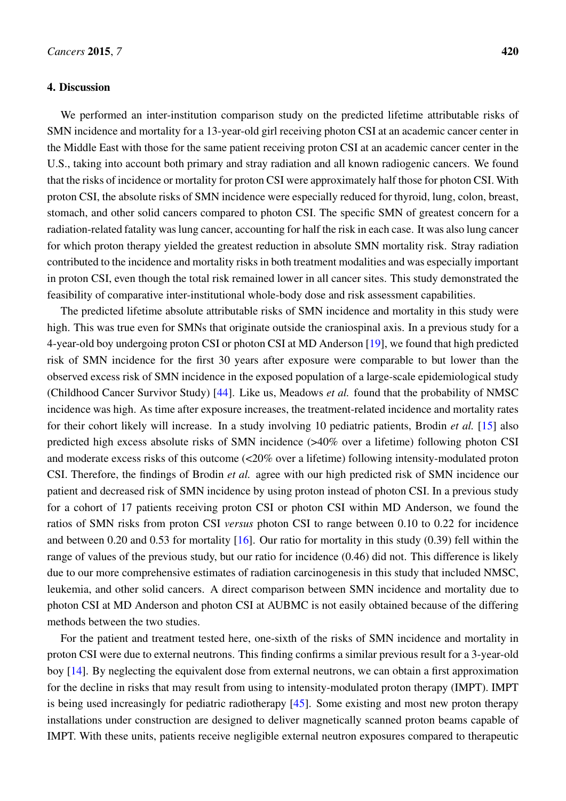#### 4. Discussion

We performed an inter-institution comparison study on the predicted lifetime attributable risks of SMN incidence and mortality for a 13-year-old girl receiving photon CSI at an academic cancer center in the Middle East with those for the same patient receiving proton CSI at an academic cancer center in the U.S., taking into account both primary and stray radiation and all known radiogenic cancers. We found that the risks of incidence or mortality for proton CSI were approximately half those for photon CSI. With proton CSI, the absolute risks of SMN incidence were especially reduced for thyroid, lung, colon, breast, stomach, and other solid cancers compared to photon CSI. The specific SMN of greatest concern for a radiation-related fatality was lung cancer, accounting for half the risk in each case. It was also lung cancer for which proton therapy yielded the greatest reduction in absolute SMN mortality risk. Stray radiation contributed to the incidence and mortality risks in both treatment modalities and was especially important in proton CSI, even though the total risk remained lower in all cancer sites. This study demonstrated the feasibility of comparative inter-institutional whole-body dose and risk assessment capabilities.

The predicted lifetime absolute attributable risks of SMN incidence and mortality in this study were high. This was true even for SMNs that originate outside the craniospinal axis. In a previous study for a 4-year-old boy undergoing proton CSI or photon CSI at MD Anderson [\[19\]](#page-19-0), we found that high predicted risk of SMN incidence for the first 30 years after exposure were comparable to but lower than the observed excess risk of SMN incidence in the exposed population of a large-scale epidemiological study (Childhood Cancer Survivor Study) [\[44\]](#page-21-0). Like us, Meadows *et al.* found that the probability of NMSC incidence was high. As time after exposure increases, the treatment-related incidence and mortality rates for their cohort likely will increase. In a study involving 10 pediatric patients, Brodin *et al.* [\[15\]](#page-18-12) also predicted high excess absolute risks of SMN incidence (>40% over a lifetime) following photon CSI and moderate excess risks of this outcome (<20% over a lifetime) following intensity-modulated proton CSI. Therefore, the findings of Brodin *et al.* agree with our high predicted risk of SMN incidence our patient and decreased risk of SMN incidence by using proton instead of photon CSI. In a previous study for a cohort of 17 patients receiving proton CSI or photon CSI within MD Anderson, we found the ratios of SMN risks from proton CSI *versus* photon CSI to range between 0.10 to 0.22 for incidence and between 0.20 and 0.53 for mortality [\[16\]](#page-19-10). Our ratio for mortality in this study (0.39) fell within the range of values of the previous study, but our ratio for incidence (0.46) did not. This difference is likely due to our more comprehensive estimates of radiation carcinogenesis in this study that included NMSC, leukemia, and other solid cancers. A direct comparison between SMN incidence and mortality due to photon CSI at MD Anderson and photon CSI at AUBMC is not easily obtained because of the differing methods between the two studies.

For the patient and treatment tested here, one-sixth of the risks of SMN incidence and mortality in proton CSI were due to external neutrons. This finding confirms a similar previous result for a 3-year-old boy [\[14\]](#page-18-8). By neglecting the equivalent dose from external neutrons, we can obtain a first approximation for the decline in risks that may result from using to intensity-modulated proton therapy (IMPT). IMPT is being used increasingly for pediatric radiotherapy [\[45\]](#page-21-1). Some existing and most new proton therapy installations under construction are designed to deliver magnetically scanned proton beams capable of IMPT. With these units, patients receive negligible external neutron exposures compared to therapeutic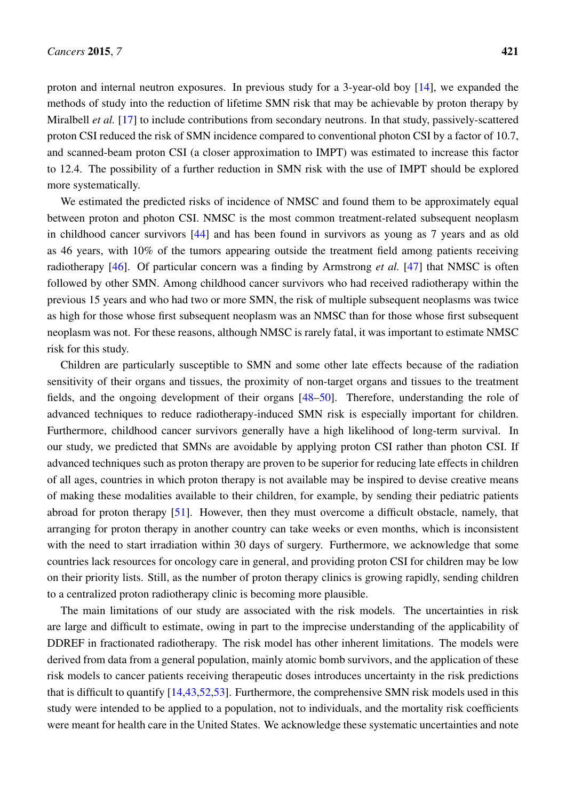proton and internal neutron exposures. In previous study for a 3-year-old boy [\[14\]](#page-18-8), we expanded the methods of study into the reduction of lifetime SMN risk that may be achievable by proton therapy by Miralbell *et al.* [\[17\]](#page-19-11) to include contributions from secondary neutrons. In that study, passively-scattered proton CSI reduced the risk of SMN incidence compared to conventional photon CSI by a factor of 10.7, and scanned-beam proton CSI (a closer approximation to IMPT) was estimated to increase this factor to 12.4. The possibility of a further reduction in SMN risk with the use of IMPT should be explored more systematically.

We estimated the predicted risks of incidence of NMSC and found them to be approximately equal between proton and photon CSI. NMSC is the most common treatment-related subsequent neoplasm in childhood cancer survivors [\[44\]](#page-21-0) and has been found in survivors as young as 7 years and as old as 46 years, with 10% of the tumors appearing outside the treatment field among patients receiving radiotherapy [\[46\]](#page-21-2). Of particular concern was a finding by Armstrong *et al.* [\[47\]](#page-21-3) that NMSC is often followed by other SMN. Among childhood cancer survivors who had received radiotherapy within the previous 15 years and who had two or more SMN, the risk of multiple subsequent neoplasms was twice as high for those whose first subsequent neoplasm was an NMSC than for those whose first subsequent neoplasm was not. For these reasons, although NMSC is rarely fatal, it was important to estimate NMSC risk for this study.

Children are particularly susceptible to SMN and some other late effects because of the radiation sensitivity of their organs and tissues, the proximity of non-target organs and tissues to the treatment fields, and the ongoing development of their organs [\[48](#page-21-4)[–50\]](#page-21-5). Therefore, understanding the role of advanced techniques to reduce radiotherapy-induced SMN risk is especially important for children. Furthermore, childhood cancer survivors generally have a high likelihood of long-term survival. In our study, we predicted that SMNs are avoidable by applying proton CSI rather than photon CSI. If advanced techniques such as proton therapy are proven to be superior for reducing late effects in children of all ages, countries in which proton therapy is not available may be inspired to devise creative means of making these modalities available to their children, for example, by sending their pediatric patients abroad for proton therapy [\[51\]](#page-21-6). However, then they must overcome a difficult obstacle, namely, that arranging for proton therapy in another country can take weeks or even months, which is inconsistent with the need to start irradiation within 30 days of surgery. Furthermore, we acknowledge that some countries lack resources for oncology care in general, and providing proton CSI for children may be low on their priority lists. Still, as the number of proton therapy clinics is growing rapidly, sending children to a centralized proton radiotherapy clinic is becoming more plausible.

The main limitations of our study are associated with the risk models. The uncertainties in risk are large and difficult to estimate, owing in part to the imprecise understanding of the applicability of DDREF in fractionated radiotherapy. The risk model has other inherent limitations. The models were derived from data from a general population, mainly atomic bomb survivors, and the application of these risk models to cancer patients receiving therapeutic doses introduces uncertainty in the risk predictions that is difficult to quantify [\[14,](#page-18-8)[43,](#page-20-12)[52,](#page-21-7)[53\]](#page-21-8). Furthermore, the comprehensive SMN risk models used in this study were intended to be applied to a population, not to individuals, and the mortality risk coefficients were meant for health care in the United States. We acknowledge these systematic uncertainties and note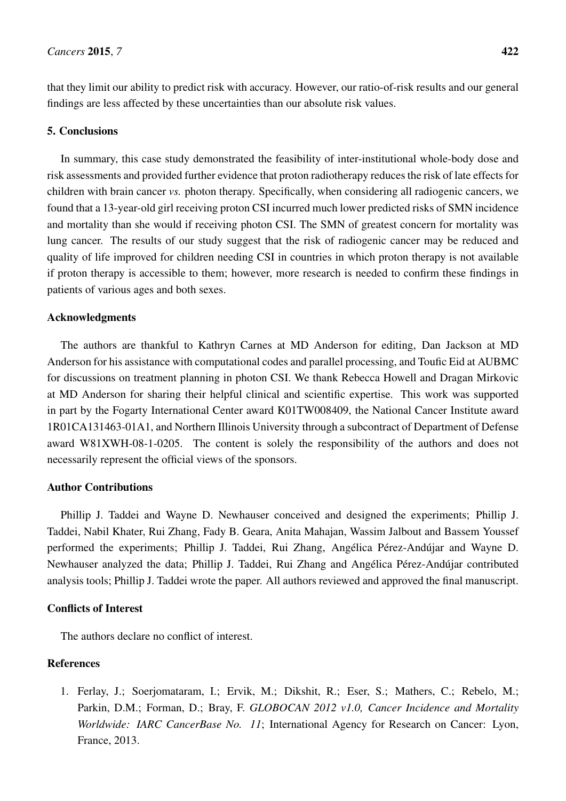that they limit our ability to predict risk with accuracy. However, our ratio-of-risk results and our general findings are less affected by these uncertainties than our absolute risk values.

# 5. Conclusions

In summary, this case study demonstrated the feasibility of inter-institutional whole-body dose and risk assessments and provided further evidence that proton radiotherapy reduces the risk of late effects for children with brain cancer *vs.* photon therapy. Specifically, when considering all radiogenic cancers, we found that a 13-year-old girl receiving proton CSI incurred much lower predicted risks of SMN incidence and mortality than she would if receiving photon CSI. The SMN of greatest concern for mortality was lung cancer. The results of our study suggest that the risk of radiogenic cancer may be reduced and quality of life improved for children needing CSI in countries in which proton therapy is not available if proton therapy is accessible to them; however, more research is needed to confirm these findings in patients of various ages and both sexes.

#### Acknowledgments

The authors are thankful to Kathryn Carnes at MD Anderson for editing, Dan Jackson at MD Anderson for his assistance with computational codes and parallel processing, and Toufic Eid at AUBMC for discussions on treatment planning in photon CSI. We thank Rebecca Howell and Dragan Mirkovic at MD Anderson for sharing their helpful clinical and scientific expertise. This work was supported in part by the Fogarty International Center award K01TW008409, the National Cancer Institute award 1R01CA131463-01A1, and Northern Illinois University through a subcontract of Department of Defense award W81XWH-08-1-0205. The content is solely the responsibility of the authors and does not necessarily represent the official views of the sponsors.

## Author Contributions

Phillip J. Taddei and Wayne D. Newhauser conceived and designed the experiments; Phillip J. Taddei, Nabil Khater, Rui Zhang, Fady B. Geara, Anita Mahajan, Wassim Jalbout and Bassem Youssef performed the experiments; Phillip J. Taddei, Rui Zhang, Angélica Pérez-Andújar and Wayne D. Newhauser analyzed the data; Phillip J. Taddei, Rui Zhang and Angélica Pérez-Andújar contributed analysis tools; Phillip J. Taddei wrote the paper. All authors reviewed and approved the final manuscript.

## Conflicts of Interest

The authors declare no conflict of interest.

### **References**

<span id="page-17-0"></span>1. Ferlay, J.; Soerjomataram, I.; Ervik, M.; Dikshit, R.; Eser, S.; Mathers, C.; Rebelo, M.; Parkin, D.M.; Forman, D.; Bray, F. *GLOBOCAN 2012 v1.0, Cancer Incidence and Mortality Worldwide: IARC CancerBase No. 11*; International Agency for Research on Cancer: Lyon, France, 2013.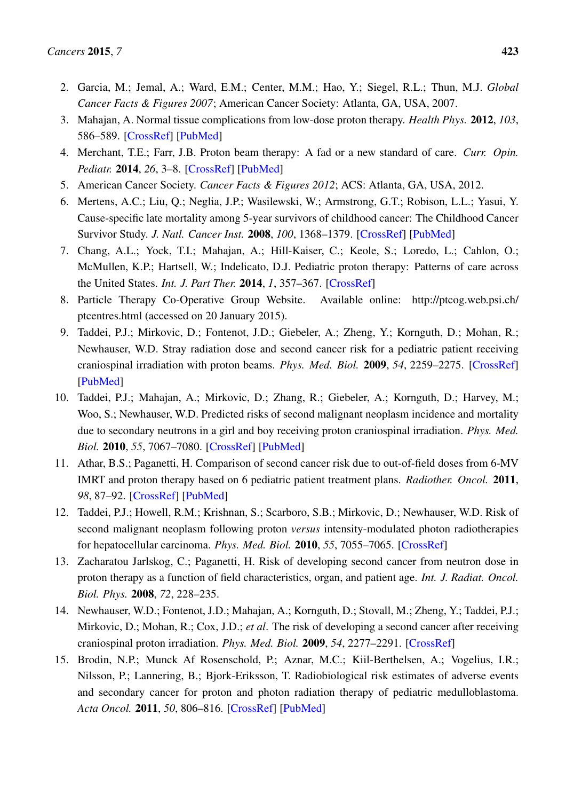- <span id="page-18-0"></span>2. Garcia, M.; Jemal, A.; Ward, E.M.; Center, M.M.; Hao, Y.; Siegel, R.L.; Thun, M.J. *Global Cancer Facts & Figures 2007*; American Cancer Society: Atlanta, GA, USA, 2007.
- <span id="page-18-1"></span>3. Mahajan, A. Normal tissue complications from low-dose proton therapy. *Health Phys.* 2012, *103*, 586–589. [\[CrossRef\]](http://dx.doi.org/10.1097/HP.0b013e3182611114) [\[PubMed\]](http://www.ncbi.nlm.nih.gov/pubmed/23032888)
- <span id="page-18-2"></span>4. Merchant, T.E.; Farr, J.B. Proton beam therapy: A fad or a new standard of care. *Curr. Opin. Pediatr.* 2014, *26*, 3–8. [\[CrossRef\]](http://dx.doi.org/10.1097/MOP.0000000000000048) [\[PubMed\]](http://www.ncbi.nlm.nih.gov/pubmed/24322719)
- <span id="page-18-3"></span>5. American Cancer Society. *Cancer Facts & Figures 2012*; ACS: Atlanta, GA, USA, 2012.
- <span id="page-18-4"></span>6. Mertens, A.C.; Liu, Q.; Neglia, J.P.; Wasilewski, W.; Armstrong, G.T.; Robison, L.L.; Yasui, Y. Cause-specific late mortality among 5-year survivors of childhood cancer: The Childhood Cancer Survivor Study. *J. Natl. Cancer Inst.* 2008, *100*, 1368–1379. [\[CrossRef\]](http://dx.doi.org/10.1093/jnci/djn310) [\[PubMed\]](http://www.ncbi.nlm.nih.gov/pubmed/18812549)
- <span id="page-18-5"></span>7. Chang, A.L.; Yock, T.I.; Mahajan, A.; Hill-Kaiser, C.; Keole, S.; Loredo, L.; Cahlon, O.; McMullen, K.P.; Hartsell, W.; Indelicato, D.J. Pediatric proton therapy: Patterns of care across the United States. *Int. J. Part Ther.* 2014, *1*, 357–367. [\[CrossRef\]](http://dx.doi.org/10.14338/IJPT.13.00009.1)
- <span id="page-18-6"></span>8. Particle Therapy Co-Operative Group Website. Available online: http://ptcog.web.psi.ch/ ptcentres.html (accessed on 20 January 2015).
- <span id="page-18-7"></span>9. Taddei, P.J.; Mirkovic, D.; Fontenot, J.D.; Giebeler, A.; Zheng, Y.; Kornguth, D.; Mohan, R.; Newhauser, W.D. Stray radiation dose and second cancer risk for a pediatric patient receiving craniospinal irradiation with proton beams. *Phys. Med. Biol.* 2009, *54*, 2259–2275. [\[CrossRef\]](http://dx.doi.org/10.1088/0031-9155/54/8/001) [\[PubMed\]](http://www.ncbi.nlm.nih.gov/pubmed/19305045)
- <span id="page-18-11"></span>10. Taddei, P.J.; Mahajan, A.; Mirkovic, D.; Zhang, R.; Giebeler, A.; Kornguth, D.; Harvey, M.; Woo, S.; Newhauser, W.D. Predicted risks of second malignant neoplasm incidence and mortality due to secondary neutrons in a girl and boy receiving proton craniospinal irradiation. *Phys. Med. Biol.* 2010, *55*, 7067–7080. [\[CrossRef\]](http://dx.doi.org/10.1088/0031-9155/55/23/S08) [\[PubMed\]](http://www.ncbi.nlm.nih.gov/pubmed/21076189)
- <span id="page-18-9"></span>11. Athar, B.S.; Paganetti, H. Comparison of second cancer risk due to out-of-field doses from 6-MV IMRT and proton therapy based on 6 pediatric patient treatment plans. *Radiother. Oncol.* 2011, *98*, 87–92. [\[CrossRef\]](http://dx.doi.org/10.1016/j.radonc.2010.11.003) [\[PubMed\]](http://www.ncbi.nlm.nih.gov/pubmed/21159398)
- <span id="page-18-10"></span>12. Taddei, P.J.; Howell, R.M.; Krishnan, S.; Scarboro, S.B.; Mirkovic, D.; Newhauser, W.D. Risk of second malignant neoplasm following proton *versus* intensity-modulated photon radiotherapies for hepatocellular carcinoma. *Phys. Med. Biol.* 2010, *55*, 7055–7065. [\[CrossRef\]](http://dx.doi.org/10.1088/0031-9155/55/23/S07)
- 13. Zacharatou Jarlskog, C.; Paganetti, H. Risk of developing second cancer from neutron dose in proton therapy as a function of field characteristics, organ, and patient age. *Int. J. Radiat. Oncol. Biol. Phys.* 2008, *72*, 228–235.
- <span id="page-18-8"></span>14. Newhauser, W.D.; Fontenot, J.D.; Mahajan, A.; Kornguth, D.; Stovall, M.; Zheng, Y.; Taddei, P.J.; Mirkovic, D.; Mohan, R.; Cox, J.D.; *et al*. The risk of developing a second cancer after receiving craniospinal proton irradiation. *Phys. Med. Biol.* 2009, *54*, 2277–2291. [\[CrossRef\]](http://dx.doi.org/10.1088/0031-9155/54/8/002)
- <span id="page-18-12"></span>15. Brodin, N.P.; Munck Af Rosenschold, P.; Aznar, M.C.; Kiil-Berthelsen, A.; Vogelius, I.R.; Nilsson, P.; Lannering, B.; Bjork-Eriksson, T. Radiobiological risk estimates of adverse events and secondary cancer for proton and photon radiation therapy of pediatric medulloblastoma. *Acta Oncol.* 2011, *50*, 806–816. [\[CrossRef\]](http://dx.doi.org/10.3109/0284186X.2011.582514) [\[PubMed\]](http://www.ncbi.nlm.nih.gov/pubmed/21767178)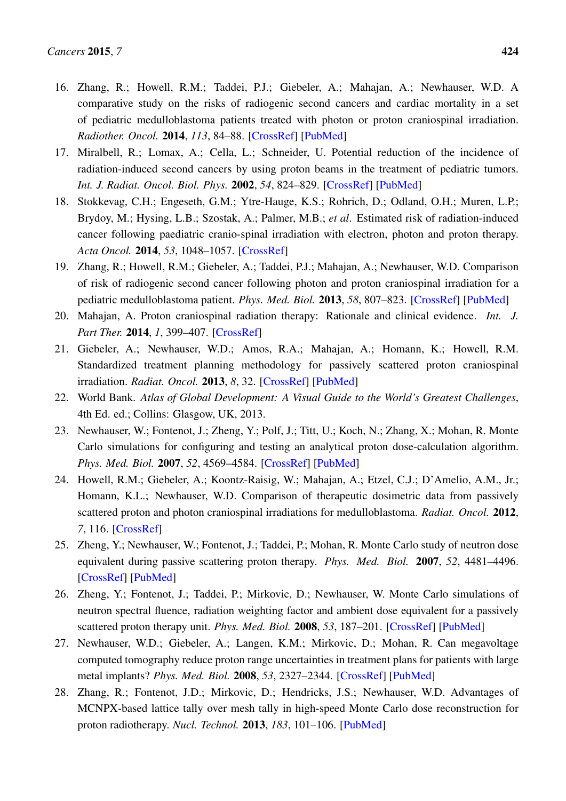- <span id="page-19-10"></span>16. Zhang, R.; Howell, R.M.; Taddei, P.J.; Giebeler, A.; Mahajan, A.; Newhauser, W.D. A comparative study on the risks of radiogenic second cancers and cardiac mortality in a set of pediatric medulloblastoma patients treated with photon or proton craniospinal irradiation. *Radiother. Oncol.* 2014, *113*, 84–88. [\[CrossRef\]](http://dx.doi.org/10.1016/j.radonc.2014.07.003) [\[PubMed\]](http://www.ncbi.nlm.nih.gov/pubmed/25128084)
- <span id="page-19-11"></span>17. Miralbell, R.; Lomax, A.; Cella, L.; Schneider, U. Potential reduction of the incidence of radiation-induced second cancers by using proton beams in the treatment of pediatric tumors. *Int. J. Radiat. Oncol. Biol. Phys.* 2002, *54*, 824–829. [\[CrossRef\]](http://dx.doi.org/10.1016/S0360-3016(02)02982-6) [\[PubMed\]](http://www.ncbi.nlm.nih.gov/pubmed/12377335)
- 18. Stokkevag, C.H.; Engeseth, G.M.; Ytre-Hauge, K.S.; Rohrich, D.; Odland, O.H.; Muren, L.P.; Brydoy, M.; Hysing, L.B.; Szostak, A.; Palmer, M.B.; *et al*. Estimated risk of radiation-induced cancer following paediatric cranio-spinal irradiation with electron, photon and proton therapy. *Acta Oncol.* 2014, *53*, 1048–1057. [\[CrossRef\]](http://dx.doi.org/10.3109/0284186X.2014.928420)
- <span id="page-19-0"></span>19. Zhang, R.; Howell, R.M.; Giebeler, A.; Taddei, P.J.; Mahajan, A.; Newhauser, W.D. Comparison of risk of radiogenic second cancer following photon and proton craniospinal irradiation for a pediatric medulloblastoma patient. *Phys. Med. Biol.* 2013, *58*, 807–823. [\[CrossRef\]](http://dx.doi.org/10.1088/0031-9155/58/4/807) [\[PubMed\]](http://www.ncbi.nlm.nih.gov/pubmed/23322160)
- <span id="page-19-1"></span>20. Mahajan, A. Proton craniospinal radiation therapy: Rationale and clinical evidence. *Int. J. Part Ther.* 2014, *1*, 399–407. [\[CrossRef\]](http://dx.doi.org/10.14338/IJPT.14.00005.1)
- <span id="page-19-2"></span>21. Giebeler, A.; Newhauser, W.D.; Amos, R.A.; Mahajan, A.; Homann, K.; Howell, R.M. Standardized treatment planning methodology for passively scattered proton craniospinal irradiation. *Radiat. Oncol.* 2013, *8*, 32. [\[CrossRef\]](http://dx.doi.org/10.1186/1748-717X-8-32) [\[PubMed\]](http://www.ncbi.nlm.nih.gov/pubmed/23375151)
- <span id="page-19-3"></span>22. World Bank. *Atlas of Global Development: A Visual Guide to the World's Greatest Challenges*, 4th Ed. ed.; Collins: Glasgow, UK, 2013.
- <span id="page-19-4"></span>23. Newhauser, W.; Fontenot, J.; Zheng, Y.; Polf, J.; Titt, U.; Koch, N.; Zhang, X.; Mohan, R. Monte Carlo simulations for configuring and testing an analytical proton dose-calculation algorithm. *Phys. Med. Biol.* 2007, *52*, 4569–4584. [\[CrossRef\]](http://dx.doi.org/10.1088/0031-9155/52/15/014) [\[PubMed\]](http://www.ncbi.nlm.nih.gov/pubmed/17634651)
- <span id="page-19-9"></span>24. Howell, R.M.; Giebeler, A.; Koontz-Raisig, W.; Mahajan, A.; Etzel, C.J.; D'Amelio, A.M., Jr.; Homann, K.L.; Newhauser, W.D. Comparison of therapeutic dosimetric data from passively scattered proton and photon craniospinal irradiations for medulloblastoma. *Radiat. Oncol.* 2012, *7*, 116. [\[CrossRef\]](http://dx.doi.org/10.1186/1748-717X-7-116)
- <span id="page-19-5"></span>25. Zheng, Y.; Newhauser, W.; Fontenot, J.; Taddei, P.; Mohan, R. Monte Carlo study of neutron dose equivalent during passive scattering proton therapy. *Phys. Med. Biol.* 2007, *52*, 4481–4496. [\[CrossRef\]](http://dx.doi.org/10.1088/0031-9155/52/15/008) [\[PubMed\]](http://www.ncbi.nlm.nih.gov/pubmed/17634645)
- <span id="page-19-6"></span>26. Zheng, Y.; Fontenot, J.; Taddei, P.; Mirkovic, D.; Newhauser, W. Monte Carlo simulations of neutron spectral fluence, radiation weighting factor and ambient dose equivalent for a passively scattered proton therapy unit. *Phys. Med. Biol.* 2008, *53*, 187–201. [\[CrossRef\]](http://dx.doi.org/10.1088/0031-9155/53/1/013) [\[PubMed\]](http://www.ncbi.nlm.nih.gov/pubmed/18182696)
- <span id="page-19-7"></span>27. Newhauser, W.D.; Giebeler, A.; Langen, K.M.; Mirkovic, D.; Mohan, R. Can megavoltage computed tomography reduce proton range uncertainties in treatment plans for patients with large metal implants? *Phys. Med. Biol.* 2008, *53*, 2327–2344. [\[CrossRef\]](http://dx.doi.org/10.1088/0031-9155/53/9/009) [\[PubMed\]](http://www.ncbi.nlm.nih.gov/pubmed/18421122)
- <span id="page-19-8"></span>28. Zhang, R.; Fontenot, J.D.; Mirkovic, D.; Hendricks, J.S.; Newhauser, W.D. Advantages of MCNPX-based lattice tally over mesh tally in high-speed Monte Carlo dose reconstruction for proton radiotherapy. *Nucl. Technol.* 2013, *183*, 101–106. [\[PubMed\]](http://www.ncbi.nlm.nih.gov/pubmed/25435594)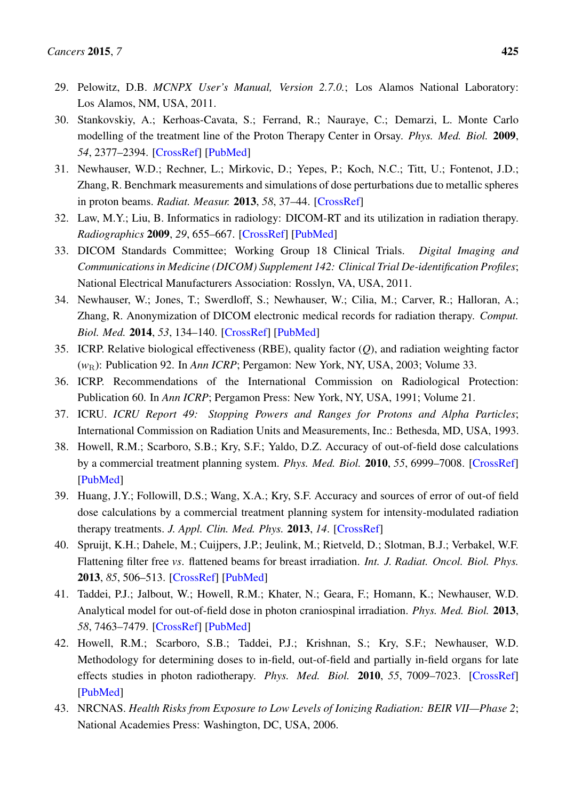- <span id="page-20-0"></span>29. Pelowitz, D.B. *MCNPX User's Manual, Version 2.7.0.*; Los Alamos National Laboratory: Los Alamos, NM, USA, 2011.
- <span id="page-20-1"></span>30. Stankovskiy, A.; Kerhoas-Cavata, S.; Ferrand, R.; Nauraye, C.; Demarzi, L. Monte Carlo modelling of the treatment line of the Proton Therapy Center in Orsay. *Phys. Med. Biol.* 2009, *54*, 2377–2394. [\[CrossRef\]](http://dx.doi.org/10.1088/0031-9155/54/8/008) [\[PubMed\]](http://www.ncbi.nlm.nih.gov/pubmed/19321923)
- <span id="page-20-2"></span>31. Newhauser, W.D.; Rechner, L.; Mirkovic, D.; Yepes, P.; Koch, N.C.; Titt, U.; Fontenot, J.D.; Zhang, R. Benchmark measurements and simulations of dose perturbations due to metallic spheres in proton beams. *Radiat. Measur.* 2013, *58*, 37–44. [\[CrossRef\]](http://dx.doi.org/10.1016/j.radmeas.2013.08.001)
- <span id="page-20-3"></span>32. Law, M.Y.; Liu, B. Informatics in radiology: DICOM-RT and its utilization in radiation therapy. *Radiographics* 2009, *29*, 655–667. [\[CrossRef\]](http://dx.doi.org/10.1148/rg.293075172) [\[PubMed\]](http://www.ncbi.nlm.nih.gov/pubmed/19270073)
- <span id="page-20-4"></span>33. DICOM Standards Committee; Working Group 18 Clinical Trials. *Digital Imaging and Communications in Medicine (DICOM) Supplement 142: Clinical Trial De-identification Profiles*; National Electrical Manufacturers Association: Rosslyn, VA, USA, 2011.
- <span id="page-20-5"></span>34. Newhauser, W.; Jones, T.; Swerdloff, S.; Newhauser, W.; Cilia, M.; Carver, R.; Halloran, A.; Zhang, R. Anonymization of DICOM electronic medical records for radiation therapy. *Comput. Biol. Med.* 2014, *53*, 134–140. [\[CrossRef\]](http://dx.doi.org/10.1016/j.compbiomed.2014.07.010) [\[PubMed\]](http://www.ncbi.nlm.nih.gov/pubmed/25147130)
- <span id="page-20-6"></span>35. ICRP. Relative biological effectiveness (RBE), quality factor (*Q*), and radiation weighting factor (*w<sub>R</sub>*): Publication 92. In *Ann ICRP*; Pergamon: New York, NY, USA, 2003; Volume 33.
- <span id="page-20-7"></span>36. ICRP. Recommendations of the International Commission on Radiological Protection: Publication 60. In *Ann ICRP*; Pergamon Press: New York, NY, USA, 1991; Volume 21.
- <span id="page-20-8"></span>37. ICRU. *ICRU Report 49: Stopping Powers and Ranges for Protons and Alpha Particles*; International Commission on Radiation Units and Measurements, Inc.: Bethesda, MD, USA, 1993.
- <span id="page-20-9"></span>38. Howell, R.M.; Scarboro, S.B.; Kry, S.F.; Yaldo, D.Z. Accuracy of out-of-field dose calculations by a commercial treatment planning system. *Phys. Med. Biol.* 2010, *55*, 6999–7008. [\[CrossRef\]](http://dx.doi.org/10.1088/0031-9155/55/23/S03) [\[PubMed\]](http://www.ncbi.nlm.nih.gov/pubmed/21076191)
- 39. Huang, J.Y.; Followill, D.S.; Wang, X.A.; Kry, S.F. Accuracy and sources of error of out-of field dose calculations by a commercial treatment planning system for intensity-modulated radiation therapy treatments. *J. Appl. Clin. Med. Phys.* 2013, *14*. [\[CrossRef\]](http://dx.doi.org/10.1120/jacmp.v14i2.4139)
- 40. Spruijt, K.H.; Dahele, M.; Cuijpers, J.P.; Jeulink, M.; Rietveld, D.; Slotman, B.J.; Verbakel, W.F. Flattening filter free *vs*. flattened beams for breast irradiation. *Int. J. Radiat. Oncol. Biol. Phys.* 2013, *85*, 506–513. [\[CrossRef\]](http://dx.doi.org/10.1016/j.ijrobp.2012.03.040) [\[PubMed\]](http://www.ncbi.nlm.nih.gov/pubmed/22672750)
- <span id="page-20-10"></span>41. Taddei, P.J.; Jalbout, W.; Howell, R.M.; Khater, N.; Geara, F.; Homann, K.; Newhauser, W.D. Analytical model for out-of-field dose in photon craniospinal irradiation. *Phys. Med. Biol.* 2013, *58*, 7463–7479. [\[CrossRef\]](http://dx.doi.org/10.1088/0031-9155/58/21/7463) [\[PubMed\]](http://www.ncbi.nlm.nih.gov/pubmed/24099782)
- <span id="page-20-11"></span>42. Howell, R.M.; Scarboro, S.B.; Taddei, P.J.; Krishnan, S.; Kry, S.F.; Newhauser, W.D. Methodology for determining doses to in-field, out-of-field and partially in-field organs for late effects studies in photon radiotherapy. *Phys. Med. Biol.* 2010, *55*, 7009–7023. [\[CrossRef\]](http://dx.doi.org/10.1088/0031-9155/55/23/S04) [\[PubMed\]](http://www.ncbi.nlm.nih.gov/pubmed/21076193)
- <span id="page-20-12"></span>43. NRCNAS. *Health Risks from Exposure to Low Levels of Ionizing Radiation: BEIR VII—Phase 2*; National Academies Press: Washington, DC, USA, 2006.